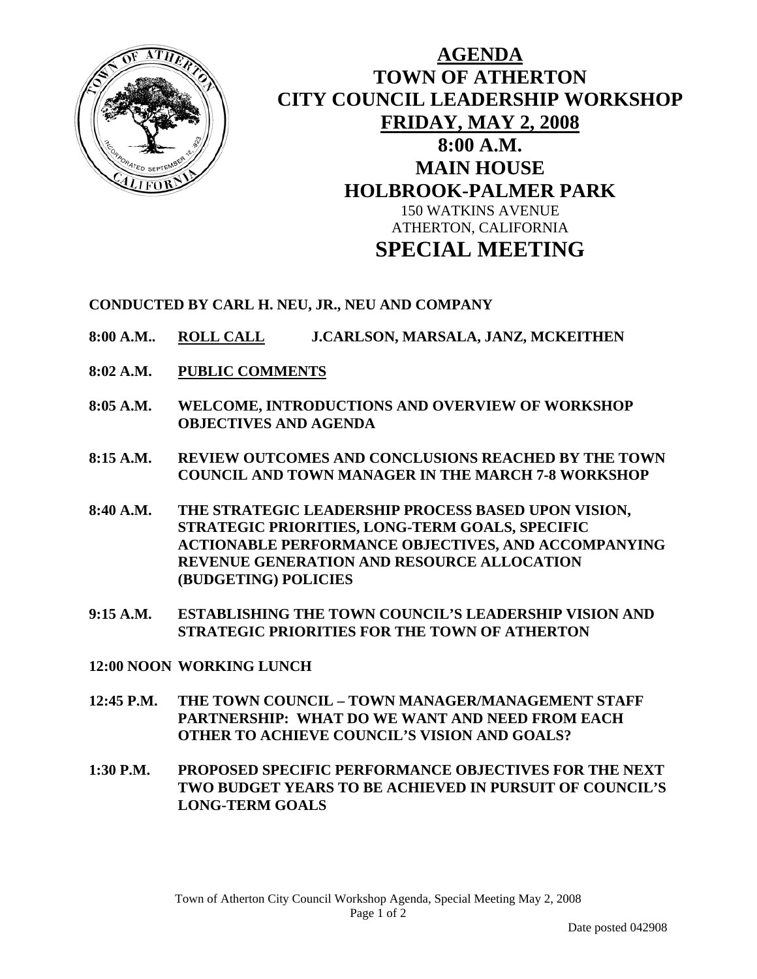

## **AGENDA TOWN OF ATHERTON CITY COUNCIL LEADERSHIP WORKSHOP FRIDAY, MAY 2, 2008 8:00 A.M. MAIN HOUSE HOLBROOK-PALMER PARK**  150 WATKINS AVENUE ATHERTON, CALIFORNIA **SPECIAL MEETING**

**CONDUCTED BY CARL H. NEU, JR., NEU AND COMPANY** 

- **8:00 A.M.. ROLL CALL J.CARLSON, MARSALA, JANZ, MCKEITHEN**
- **8:02 A.M. PUBLIC COMMENTS**
- **8:05 A.M. WELCOME, INTRODUCTIONS AND OVERVIEW OF WORKSHOP OBJECTIVES AND AGENDA**
- **8:15 A.M. REVIEW OUTCOMES AND CONCLUSIONS REACHED BY THE TOWN COUNCIL AND TOWN MANAGER IN THE MARCH 7-8 WORKSHOP**
- **8:40 A.M. THE STRATEGIC LEADERSHIP PROCESS BASED UPON VISION, STRATEGIC PRIORITIES, LONG-TERM GOALS, SPECIFIC ACTIONABLE PERFORMANCE OBJECTIVES, AND ACCOMPANYING REVENUE GENERATION AND RESOURCE ALLOCATION (BUDGETING) POLICIES**
- **9:15 A.M. ESTABLISHING THE TOWN COUNCIL'S LEADERSHIP VISION AND STRATEGIC PRIORITIES FOR THE TOWN OF ATHERTON**
- **12:00 NOON WORKING LUNCH**
- **12:45 P.M. THE TOWN COUNCIL TOWN MANAGER/MANAGEMENT STAFF PARTNERSHIP: WHAT DO WE WANT AND NEED FROM EACH OTHER TO ACHIEVE COUNCIL'S VISION AND GOALS?**
- **1:30 P.M. PROPOSED SPECIFIC PERFORMANCE OBJECTIVES FOR THE NEXT TWO BUDGET YEARS TO BE ACHIEVED IN PURSUIT OF COUNCIL'S LONG-TERM GOALS**